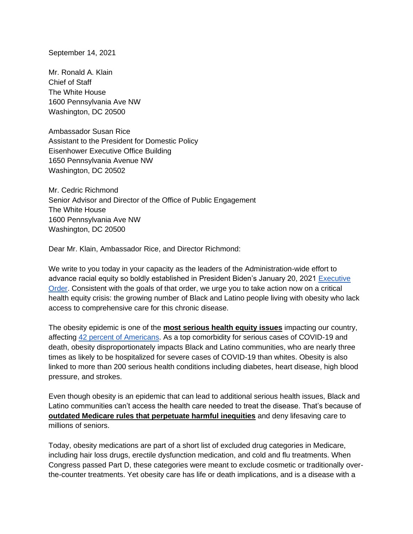September 14, 2021

Mr. Ronald A. Klain Chief of Staff The White House 1600 Pennsylvania Ave NW Washington, DC 20500

Ambassador Susan Rice Assistant to the President for Domestic Policy Eisenhower Executive Office Building 1650 Pennsylvania Avenue NW Washington, DC 20502

Mr. Cedric Richmond Senior Advisor and Director of the Office of Public Engagement The White House 1600 Pennsylvania Ave NW Washington, DC 20500

Dear Mr. Klain, Ambassador Rice, and Director Richmond:

We write to you today in your capacity as the leaders of the Administration-wide effort to advance racial equity so boldly established in President Biden's January 20, 2021 [Executive](https://www.whitehouse.gov/briefing-room/presidential-actions/2021/01/20/executive-order-advancing-racial-equity-and-support-for-underserved-communities-through-the-federal-government/)  [Order.](https://www.whitehouse.gov/briefing-room/presidential-actions/2021/01/20/executive-order-advancing-racial-equity-and-support-for-underserved-communities-through-the-federal-government/) Consistent with the goals of that order, we urge you to take action now on a critical health equity crisis: the growing number of Black and Latino people living with obesity who lack access to comprehensive care for this chronic disease.

The obesity epidemic is one of the **most serious health equity issues** impacting our country, affecting [42 percent of Americans.](https://www.washingtonpost.com/health/obesity-now-affects-42-percent-of-us-adults-cdc-says/2020/03/06/5922b380-5ef1-11ea-b014-4fafa866bb81_story.html) As a top comorbidity for serious cases of COVID-19 and death, obesity disproportionately impacts Black and Latino communities, who are nearly three times as likely to be hospitalized for severe cases of COVID-19 than whites. Obesity is also linked to more than 200 serious health conditions including diabetes, heart disease, high blood pressure, and strokes.

Even though obesity is an epidemic that can lead to additional serious health issues, Black and Latino communities can't access the health care needed to treat the disease. That's because of **outdated Medicare rules that perpetuate harmful inequities** and deny lifesaving care to millions of seniors.

Today, obesity medications are part of a short list of excluded drug categories in Medicare, including hair loss drugs, erectile dysfunction medication, and cold and flu treatments. When Congress passed Part D, these categories were meant to exclude cosmetic or traditionally overthe-counter treatments. Yet obesity care has life or death implications, and is a disease with a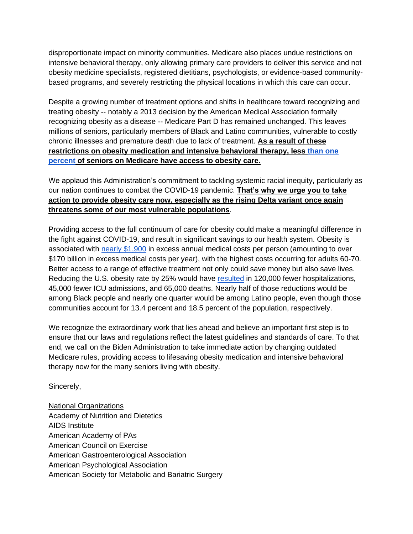disproportionate impact on minority communities. Medicare also places undue restrictions on intensive behavioral therapy, only allowing primary care providers to deliver this service and not obesity medicine specialists, registered dietitians, psychologists, or evidence-based communitybased programs, and severely restricting the physical locations in which this care can occur.

Despite a growing number of treatment options and shifts in healthcare toward recognizing and treating obesity -- notably a 2013 decision by the American Medical Association formally recognizing obesity as a disease -- Medicare Part D has remained unchanged. This leaves millions of seniors, particularly members of Black and Latino communities, vulnerable to costly chronic illnesses and premature death due to lack of treatment. **As a result of these restrictions on obesity medication and intensive behavioral therapy, less [than one](https://www.obesityaction.org/community/news/access-to-care/you-should-care-treat-reduce-obesity-act-troa/)  [percent](https://www.obesityaction.org/community/news/access-to-care/you-should-care-treat-reduce-obesity-act-troa/) of seniors on Medicare have access to obesity care.** 

We applaud this Administration's commitment to tackling systemic racial inequity, particularly as our nation continues to combat the COVID-19 pandemic. **That's why we urge you to take action to provide obesity care now, especially as the rising Delta variant once again threatens some of our most vulnerable populations**.

Providing access to the full continuum of care for obesity could make a meaningful difference in the fight against COVID-19, and result in significant savings to our health system. Obesity is associated with [nearly \\$1,900](https://journals.plos.org/plosone/article?id=10.1371/journal.pone.0247307#pone-0247307-t001) in excess annual medical costs per person (amounting to over \$170 billion in excess medical costs per year), with the highest costs occurring for adults 60-70. Better access to a range of effective treatment not only could save money but also save lives. Reducing the U.S. obesity rate by 25% would have [resulted](https://www.xcenda.com/insights/june-2021-update-the-impact-of-obesity-on-covid-19-outcomes-of-hospitalizations-and-mortality) in 120,000 fewer hospitalizations, 45,000 fewer ICU admissions, and 65,000 deaths. Nearly half of those reductions would be among Black people and nearly one quarter would be among Latino people, even though those communities account for 13.4 percent and 18.5 percent of the population, respectively.

We recognize the extraordinary work that lies ahead and believe an important first step is to ensure that our laws and regulations reflect the latest guidelines and standards of care. To that end, we call on the Biden Administration to take immediate action by changing outdated Medicare rules, providing access to lifesaving obesity medication and intensive behavioral therapy now for the many seniors living with obesity.

Sincerely,

National Organizations Academy of Nutrition and Dietetics AIDS Institute American Academy of PAs American Council on Exercise American Gastroenterological Association American Psychological Association American Society for Metabolic and Bariatric Surgery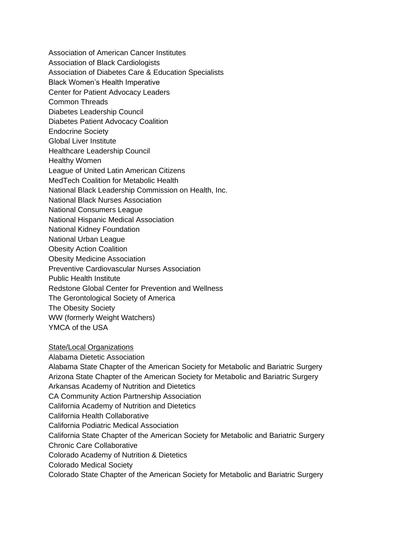Association of American Cancer Institutes Association of Black Cardiologists Association of Diabetes Care & Education Specialists Black Women's Health Imperative Center for Patient Advocacy Leaders Common Threads Diabetes Leadership Council Diabetes Patient Advocacy Coalition Endocrine Society Global Liver Institute Healthcare Leadership Council Healthy Women League of United Latin American Citizens MedTech Coalition for Metabolic Health National Black Leadership Commission on Health, Inc. National Black Nurses Association National Consumers League National Hispanic Medical Association National Kidney Foundation National Urban League Obesity Action Coalition Obesity Medicine Association Preventive Cardiovascular Nurses Association Public Health Institute Redstone Global Center for Prevention and Wellness The Gerontological Society of America The Obesity Society WW (formerly Weight Watchers) YMCA of the USA

State/Local Organizations Alabama Dietetic Association Alabama State Chapter of the American Society for Metabolic and Bariatric Surgery Arizona State Chapter of the American Society for Metabolic and Bariatric Surgery Arkansas Academy of Nutrition and Dietetics CA Community Action Partnership Association California Academy of Nutrition and Dietetics California Health Collaborative California Podiatric Medical Association California State Chapter of the American Society for Metabolic and Bariatric Surgery Chronic Care Collaborative Colorado Academy of Nutrition & Dietetics Colorado Medical Society Colorado State Chapter of the American Society for Metabolic and Bariatric Surgery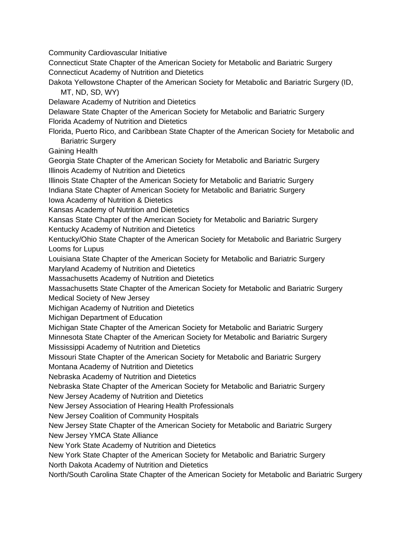Community Cardiovascular Initiative

Connecticut State Chapter of the American Society for Metabolic and Bariatric Surgery Connecticut Academy of Nutrition and Dietetics

Dakota Yellowstone Chapter of the American Society for Metabolic and Bariatric Surgery (ID, MT, ND, SD, WY)

Delaware Academy of Nutrition and Dietetics

Delaware State Chapter of the American Society for Metabolic and Bariatric Surgery Florida Academy of Nutrition and Dietetics

Florida, Puerto Rico, and Caribbean State Chapter of the American Society for Metabolic and Bariatric Surgery

Gaining Health

Georgia State Chapter of the American Society for Metabolic and Bariatric Surgery Illinois Academy of Nutrition and Dietetics

Illinois State Chapter of the American Society for Metabolic and Bariatric Surgery

Indiana State Chapter of American Society for Metabolic and Bariatric Surgery Iowa Academy of Nutrition & Dietetics

Kansas Academy of Nutrition and Dietetics

Kansas State Chapter of the American Society for Metabolic and Bariatric Surgery Kentucky Academy of Nutrition and Dietetics

Kentucky/Ohio State Chapter of the American Society for Metabolic and Bariatric Surgery Looms for Lupus

Louisiana State Chapter of the American Society for Metabolic and Bariatric Surgery

Maryland Academy of Nutrition and Dietetics

Massachusetts Academy of Nutrition and Dietetics

Massachusetts State Chapter of the American Society for Metabolic and Bariatric Surgery Medical Society of New Jersey

Michigan Academy of Nutrition and Dietetics

Michigan Department of Education

Michigan State Chapter of the American Society for Metabolic and Bariatric Surgery

Minnesota State Chapter of the American Society for Metabolic and Bariatric Surgery

Mississippi Academy of Nutrition and Dietetics

Missouri State Chapter of the American Society for Metabolic and Bariatric Surgery

Montana Academy of Nutrition and Dietetics

Nebraska Academy of Nutrition and Dietetics

Nebraska State Chapter of the American Society for Metabolic and Bariatric Surgery New Jersey Academy of Nutrition and Dietetics

New Jersey Association of Hearing Health Professionals

New Jersey Coalition of Community Hospitals

New Jersey State Chapter of the American Society for Metabolic and Bariatric Surgery

New Jersey YMCA State Alliance

New York State Academy of Nutrition and Dietetics

New York State Chapter of the American Society for Metabolic and Bariatric Surgery

North Dakota Academy of Nutrition and Dietetics

North/South Carolina State Chapter of the American Society for Metabolic and Bariatric Surgery